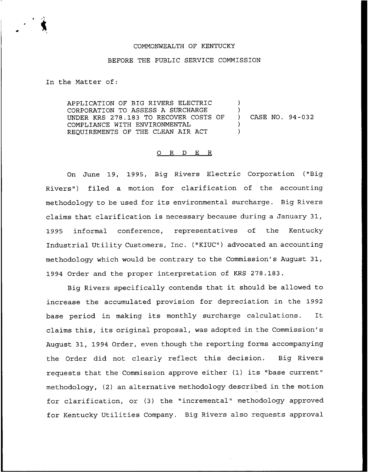### COMMONWEALTH OF KENTUCKY

### BEFORE THE PUBLIC SERVICE COMMISSION

In the Matter of:

APPLICATION OF BIG RIVERS ELECTRIC CORPORATION TO ASSESS A SURCHARGE UNDER KRS 278.183 TO RECOVER COSTS OF COMPLIANCE WITH ENVIRONMENTAL REQUIREMENTS OF THE CLEAN AIR ACT ) ) ) CASE NO. 94 —032 ) )

# 0 R <sup>D</sup> E R

On June 19, 1995, Big Rivers Electric Corporation ("Big Rivers") filed a motion for clarification of the accounting methodology to be used for its environmental surcharge. Big Rivers claims that clarification is necessary because during a January 31, 1995 informal conference, representatives of the Kentucky Industrial Utility Customers, Inc. ("KIUC") advocated an accounting methodology which would be contrary to the Commission's August 31, 1994 Order and the proper interpretation of KRS 278.183.

Big Rivers specifically contends that it should be allowed to increase the accumulated provision for depreciation in the 1992 base period in making its monthly surcharge calculations. It claims this, its original proposal, was adopted in the Commission's August 31, 1994 Order, even though the reporting forms accompanying the Order did not clearly reflect this decision. Big Rivers requests that the Commission approve either (1) its "base current" methodology, (2) an alternative methodology described in the motion for clarification, or (3) the "incremental" methodology approved for Kentucky Utilities Company. Big Rivers also requests approval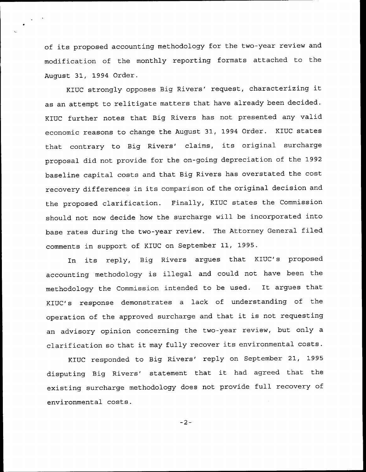of its proposed accounting methodology for the two-year review and modification of the monthly reporting formats attached to the August 31, 1994 Order.

KIUC strongly opposes Big Rivers' request, characterizing it as an attempt to relitigate matters that have already been decided. KIUC further notes that Big Rivers has not presented any valid economic reasons to change the August 31, 1994 Order. KIUC states that contrary to Big Rivers' claims, its original surcharge proposal did not provide for the on-going depreciation of the 1992 baseline capital costs and that Big Rivers has overstated the cost recovery differences in its comparison of the original decision and the proposed clarification. Finally, KIUC states the Commission should not now decide how the surcharge will be incorporated into base rates during the two-year review. The Attorney General filed comments in support of KIUC on September 11, 1995.

In its reply, Big Rivers argues that KIUC's proposed accounting methodology is illegal and could not have been the methodology the Commission intended to be used. It argues that KIUC's response demonstrates a lack of understanding of the operation of the approved surcharge and that it is not requesting an advisory opinion concerning the two-year review, but only a clarification so that it may fully recover its environmental costs.

KIUC responded to Big Rivers' reply on September 21, 1995 disputing Big Rivers' statement that it had agreed that the existing surcharge methodology does not provide full recovery of environmental costs.

 $-2-$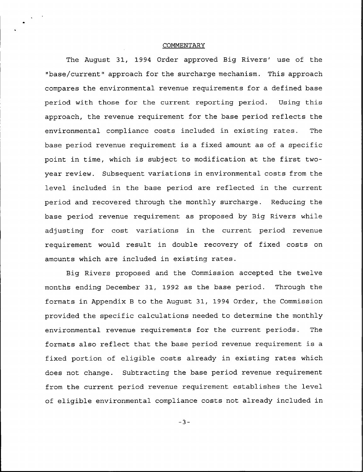## COMMENTARY

The August 31, 1994 Order approved Big Rivers' use of the "base/current" approach for the surcharge mechanism. This approach compares the environmental revenue requirements for a defined base period with those for the current reporting period. Using this approach, the revenue requirement for the base period reflects the environmental compliance costs included in existing rates. The base period revenue requirement is a fixed amount as of a specific point in time, which is subject to modification at the first twoyear review. Subsequent variations in environmental costs from the level included in the base period are reflected in the current period and recovered through the monthly surcharge. Reducing the base period revenue requirement as proposed by Big Rivers while adjusting for cost variations in the current period revenue requirement would result in double recovery of fixed costs on amounts which are included in existing rates.

Big Rivers proposed and the Commission accepted the twelve months ending December 31, 1992 as the base period. Through the formats in Appendix <sup>B</sup> to the August 31, 1994 Order, the Commission provided the specific calculations needed to determine the monthly environmental revenue requirements for the current periods. The formats also reflect that the base period revenue requirement is a fixed portion of eligible costs already in existing rates which does not change. Subtracting the base period revenue requirement from the current period revenue requirement establishes the level of eligible environmental compliance costs not already included in

 $-3-$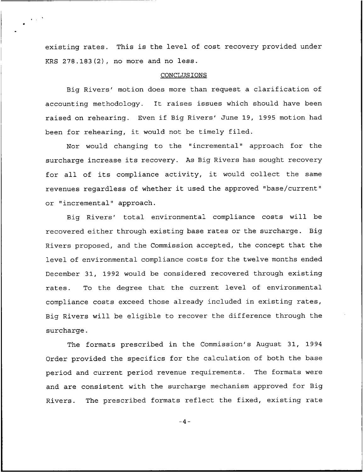existing rates. This is the level of cost recovery provided under KRS 278.183(2), no more and no less.

## CONCLUSIONS

Big Rivers' motion does more than request a clarification of accounting methodology. It raises issues which should have been raised on rehearing. Even if Big Rivers' June 19, 1995 motion had been for rehearing, it would not be timely filed.

Nor would changing to the "incremental" approach for the surcharge increase its recovery. As Big Rivers has sought recovery for all of its compliance activity, it would collect the same revenues regardless of whether it used the approved "base/current" or "incremental" approach.

Big Rivers' total environmental compliance costs will be recovered either through existing base rates or the surcharge. Big Rivers proposed, and the Commission accepted, the concept that the level of environmental compliance costs for the twelve months ended December 31, 1992 would be considered recovered through existing rates. To the degree that the current level of environmental compliance costs exceed those already included in existing rates, Big Rivers will be eligible to recover the difference through the surcharge.

The formats prescribed in the Commission's August 31, 1994 Order provided the specifics for the calculation of both the base period and current period revenue requirements. The formats were and are consistent with the surcharge mechanism approved for Big Rivers. The prescribed formats reflect the fixed, existing rate

 $-4-$